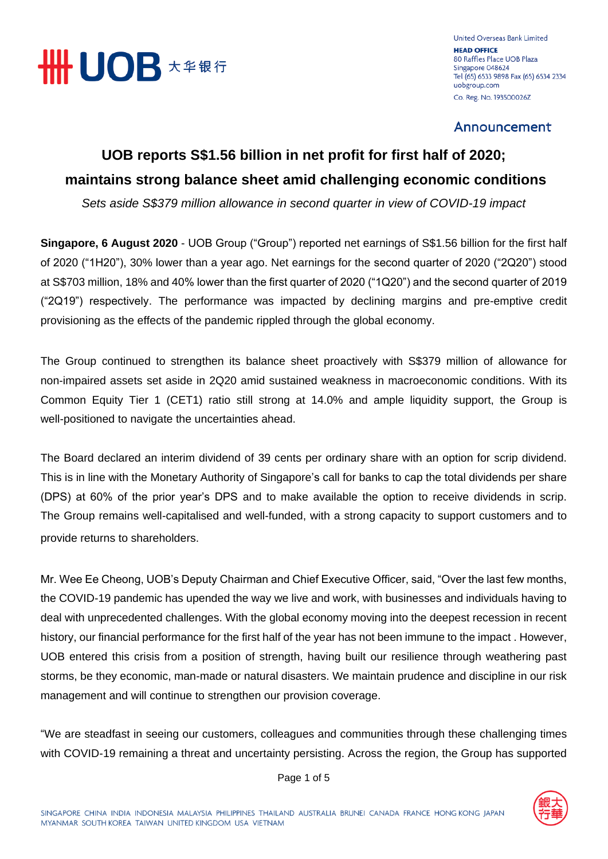

United Overseas Bank Limited **HEAD OFFICE** 80 Raffles Place UOB Plaza Singapore 048624 Tel (65) 6533 9898 Fax (65) 6534 2334 uobgroup.com Co. Reg. No. 193500026Z

Announcement

# **UOB reports S\$1.56 billion in net profit for first half of 2020; maintains strong balance sheet amid challenging economic conditions**

*Sets aside S\$379 million allowance in second quarter in view of COVID-19 impact*

**Singapore, 6 August 2020** - UOB Group ("Group") reported net earnings of S\$1.56 billion for the first half of 2020 ("1H20"), 30% lower than a year ago. Net earnings for the second quarter of 2020 ("2Q20") stood at S\$703 million, 18% and 40% lower than the first quarter of 2020 ("1Q20") and the second quarter of 2019 ("2Q19") respectively. The performance was impacted by declining margins and pre-emptive credit provisioning as the effects of the pandemic rippled through the global economy.

The Group continued to strengthen its balance sheet proactively with S\$379 million of allowance for non-impaired assets set aside in 2Q20 amid sustained weakness in macroeconomic conditions. With its Common Equity Tier 1 (CET1) ratio still strong at 14.0% and ample liquidity support, the Group is well-positioned to navigate the uncertainties ahead.

The Board declared an interim dividend of 39 cents per ordinary share with an option for scrip dividend. This is in line with the Monetary Authority of Singapore's call for banks to cap the total dividends per share (DPS) at 60% of the prior year's DPS and to make available the option to receive dividends in scrip. The Group remains well-capitalised and well-funded, with a strong capacity to support customers and to provide returns to shareholders.

Mr. Wee Ee Cheong, UOB's Deputy Chairman and Chief Executive Officer, said, "Over the last few months, the COVID-19 pandemic has upended the way we live and work, with businesses and individuals having to deal with unprecedented challenges. With the global economy moving into the deepest recession in recent history, our financial performance for the first half of the year has not been immune to the impact . However, UOB entered this crisis from a position of strength, having built our resilience through weathering past storms, be they economic, man-made or natural disasters. We maintain prudence and discipline in our risk management and will continue to strengthen our provision coverage.

"We are steadfast in seeing our customers, colleagues and communities through these challenging times with COVID-19 remaining a threat and uncertainty persisting. Across the region, the Group has supported



Page 1 of 5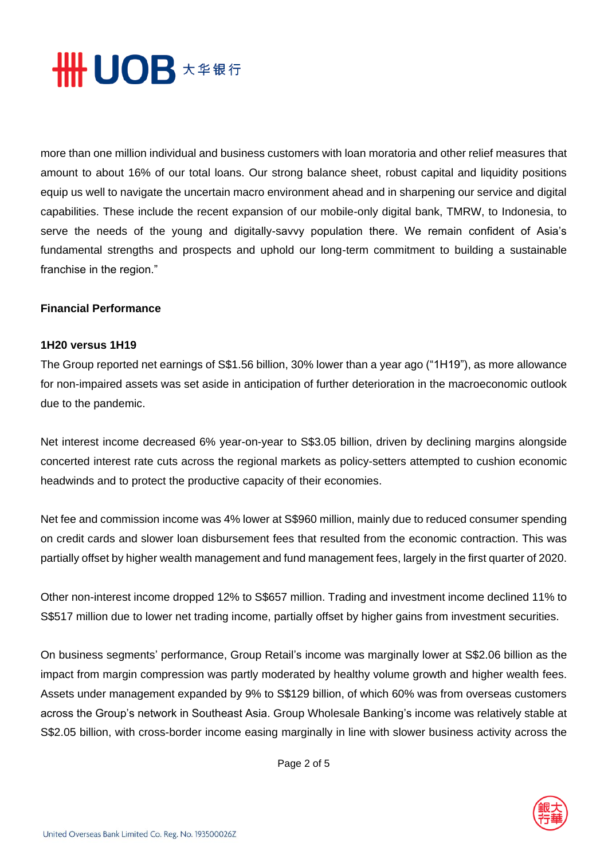

more than one million individual and business customers with loan moratoria and other relief measures that amount to about 16% of our total loans. Our strong balance sheet, robust capital and liquidity positions equip us well to navigate the uncertain macro environment ahead and in sharpening our service and digital capabilities. These include the recent expansion of our mobile-only digital bank, TMRW, to Indonesia, to serve the needs of the young and digitally-savvy population there. We remain confident of Asia's fundamental strengths and prospects and uphold our long-term commitment to building a sustainable franchise in the region."

#### **Financial Performance**

#### **1H20 versus 1H19**

The Group reported net earnings of S\$1.56 billion, 30% lower than a year ago ("1H19"), as more allowance for non-impaired assets was set aside in anticipation of further deterioration in the macroeconomic outlook due to the pandemic.

Net interest income decreased 6% year-on-year to S\$3.05 billion, driven by declining margins alongside concerted interest rate cuts across the regional markets as policy-setters attempted to cushion economic headwinds and to protect the productive capacity of their economies.

Net fee and commission income was 4% lower at S\$960 million, mainly due to reduced consumer spending on credit cards and slower loan disbursement fees that resulted from the economic contraction. This was partially offset by higher wealth management and fund management fees, largely in the first quarter of 2020.

Other non-interest income dropped 12% to S\$657 million. Trading and investment income declined 11% to S\$517 million due to lower net trading income, partially offset by higher gains from investment securities.

On business segments' performance, Group Retail's income was marginally lower at S\$2.06 billion as the impact from margin compression was partly moderated by healthy volume growth and higher wealth fees. Assets under management expanded by 9% to S\$129 billion, of which 60% was from overseas customers across the Group's network in Southeast Asia. Group Wholesale Banking's income was relatively stable at S\$2.05 billion, with cross-border income easing marginally in line with slower business activity across the

Page 2 of 5

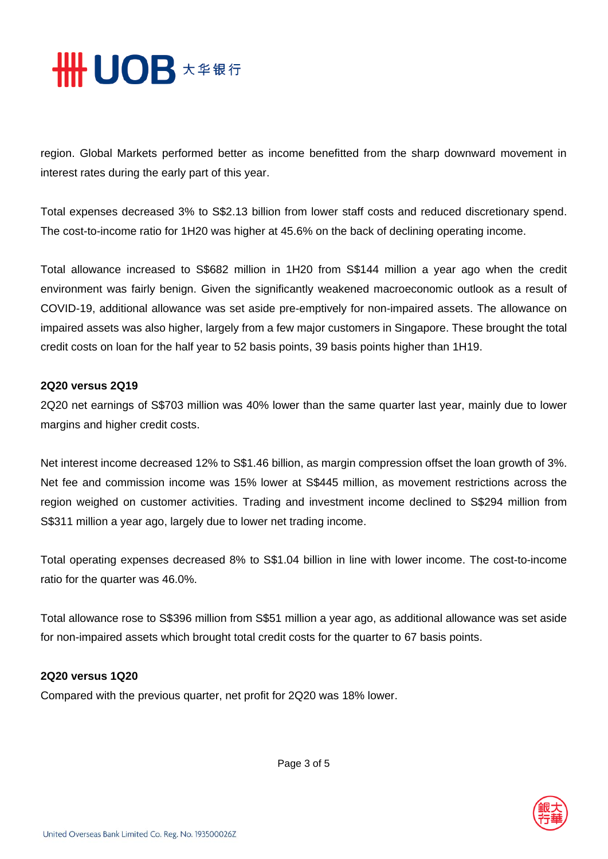

region. Global Markets performed better as income benefitted from the sharp downward movement in interest rates during the early part of this year.

Total expenses decreased 3% to S\$2.13 billion from lower staff costs and reduced discretionary spend. The cost-to-income ratio for 1H20 was higher at 45.6% on the back of declining operating income.

Total allowance increased to S\$682 million in 1H20 from S\$144 million a year ago when the credit environment was fairly benign. Given the significantly weakened macroeconomic outlook as a result of COVID-19, additional allowance was set aside pre-emptively for non-impaired assets. The allowance on impaired assets was also higher, largely from a few major customers in Singapore. These brought the total credit costs on loan for the half year to 52 basis points, 39 basis points higher than 1H19.

#### **2Q20 versus 2Q19**

2Q20 net earnings of S\$703 million was 40% lower than the same quarter last year, mainly due to lower margins and higher credit costs.

Net interest income decreased 12% to S\$1.46 billion, as margin compression offset the loan growth of 3%. Net fee and commission income was 15% lower at S\$445 million, as movement restrictions across the region weighed on customer activities. Trading and investment income declined to S\$294 million from S\$311 million a year ago, largely due to lower net trading income.

Total operating expenses decreased 8% to S\$1.04 billion in line with lower income. The cost-to-income ratio for the quarter was 46.0%.

Total allowance rose to S\$396 million from S\$51 million a year ago, as additional allowance was set aside for non-impaired assets which brought total credit costs for the quarter to 67 basis points.

### **2Q20 versus 1Q20**

Compared with the previous quarter, net profit for 2Q20 was 18% lower.



Page 3 of 5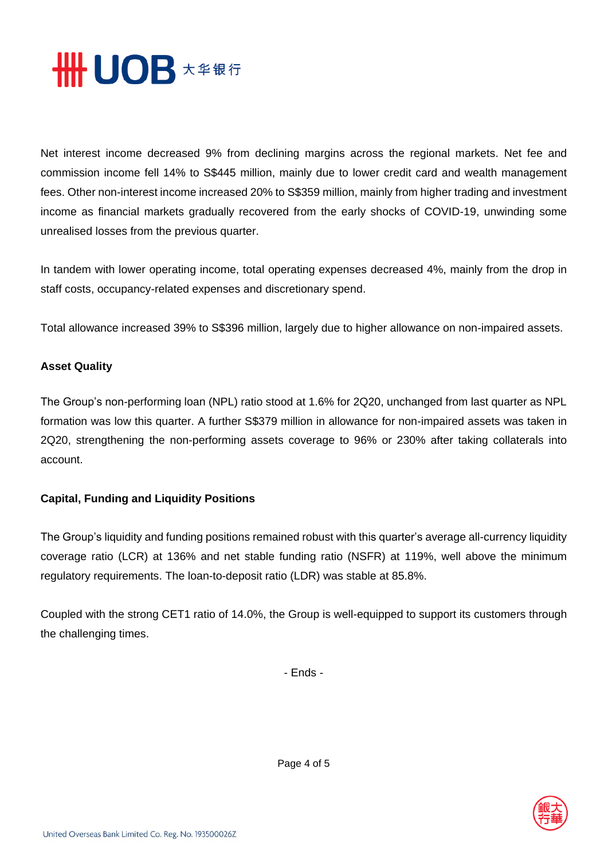

Net interest income decreased 9% from declining margins across the regional markets. Net fee and commission income fell 14% to S\$445 million, mainly due to lower credit card and wealth management fees. Other non-interest income increased 20% to S\$359 million, mainly from higher trading and investment income as financial markets gradually recovered from the early shocks of COVID-19, unwinding some unrealised losses from the previous quarter.

In tandem with lower operating income, total operating expenses decreased 4%, mainly from the drop in staff costs, occupancy-related expenses and discretionary spend.

Total allowance increased 39% to S\$396 million, largely due to higher allowance on non-impaired assets.

## **Asset Quality**

The Group's non-performing loan (NPL) ratio stood at 1.6% for 2Q20, unchanged from last quarter as NPL formation was low this quarter. A further S\$379 million in allowance for non-impaired assets was taken in 2Q20, strengthening the non-performing assets coverage to 96% or 230% after taking collaterals into account.

# **Capital, Funding and Liquidity Positions**

The Group's liquidity and funding positions remained robust with this quarter's average all-currency liquidity coverage ratio (LCR) at 136% and net stable funding ratio (NSFR) at 119%, well above the minimum regulatory requirements. The loan-to-deposit ratio (LDR) was stable at 85.8%.

Coupled with the strong CET1 ratio of 14.0%, the Group is well-equipped to support its customers through the challenging times.

- Ends -